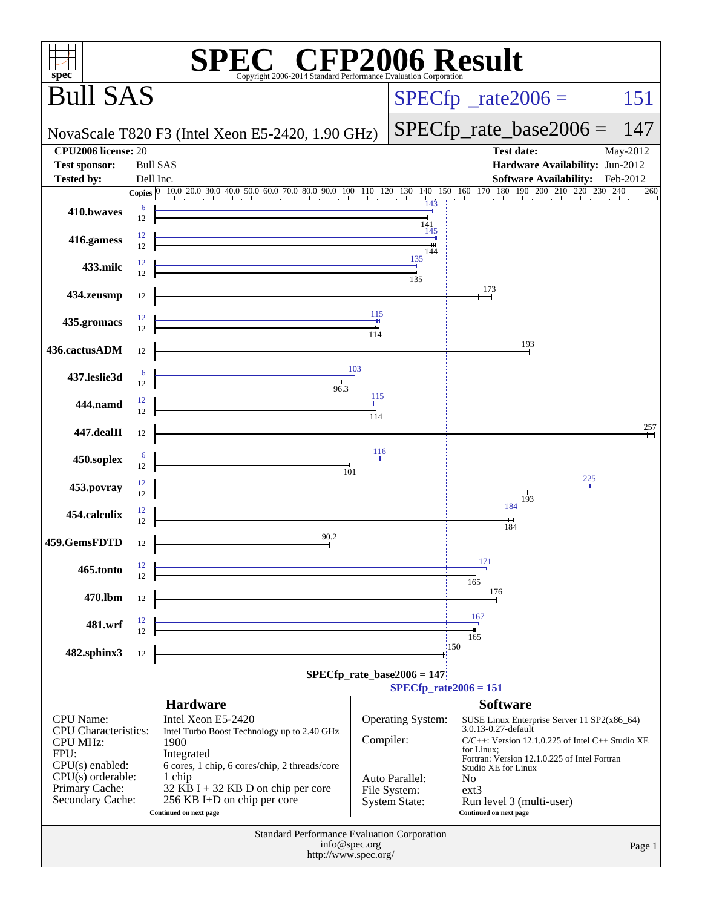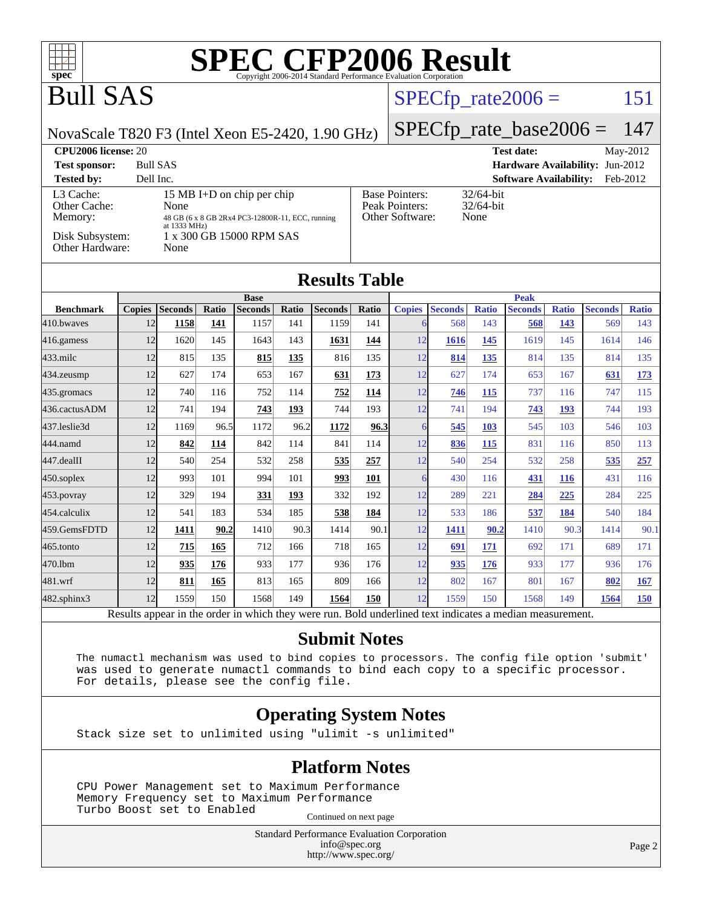

[482.sphinx3](http://www.spec.org/auto/cpu2006/Docs/482.sphinx3.html) 12 1559 150 1568 149 **[1564](http://www.spec.org/auto/cpu2006/Docs/result-fields.html#Median) [150](http://www.spec.org/auto/cpu2006/Docs/result-fields.html#Median)** 12 1559 150 1568 149 **[1564](http://www.spec.org/auto/cpu2006/Docs/result-fields.html#Median) [150](http://www.spec.org/auto/cpu2006/Docs/result-fields.html#Median)** Results appear in the [order in which they were run.](http://www.spec.org/auto/cpu2006/Docs/result-fields.html#RunOrder) Bold underlined text [indicates a median measurement.](http://www.spec.org/auto/cpu2006/Docs/result-fields.html#Median)

#### **[Submit Notes](http://www.spec.org/auto/cpu2006/Docs/result-fields.html#SubmitNotes)**

[459.GemsFDTD](http://www.spec.org/auto/cpu2006/Docs/459.GemsFDTD.html) 12 **[1411](http://www.spec.org/auto/cpu2006/Docs/result-fields.html#Median) [90.2](http://www.spec.org/auto/cpu2006/Docs/result-fields.html#Median)** 1410 90.3 1414 90.1 12 **[1411](http://www.spec.org/auto/cpu2006/Docs/result-fields.html#Median) [90.2](http://www.spec.org/auto/cpu2006/Docs/result-fields.html#Median)** 1410 90.3 1414 90.1 [465.tonto](http://www.spec.org/auto/cpu2006/Docs/465.tonto.html) 12 **[715](http://www.spec.org/auto/cpu2006/Docs/result-fields.html#Median) [165](http://www.spec.org/auto/cpu2006/Docs/result-fields.html#Median)** 712 166 718 165 12 **[691](http://www.spec.org/auto/cpu2006/Docs/result-fields.html#Median) [171](http://www.spec.org/auto/cpu2006/Docs/result-fields.html#Median)** 692 171 689 171 [470.lbm](http://www.spec.org/auto/cpu2006/Docs/470.lbm.html) 12 **[935](http://www.spec.org/auto/cpu2006/Docs/result-fields.html#Median) [176](http://www.spec.org/auto/cpu2006/Docs/result-fields.html#Median)** 933 177 936 176 12 **[935](http://www.spec.org/auto/cpu2006/Docs/result-fields.html#Median) [176](http://www.spec.org/auto/cpu2006/Docs/result-fields.html#Median)** 933 177 936 176 [481.wrf](http://www.spec.org/auto/cpu2006/Docs/481.wrf.html) 12 **[811](http://www.spec.org/auto/cpu2006/Docs/result-fields.html#Median) [165](http://www.spec.org/auto/cpu2006/Docs/result-fields.html#Median)** 813 165 809 166 12 802 167 801 167 **[802](http://www.spec.org/auto/cpu2006/Docs/result-fields.html#Median) [167](http://www.spec.org/auto/cpu2006/Docs/result-fields.html#Median)**

 The numactl mechanism was used to bind copies to processors. The config file option 'submit' was used to generate numactl commands to bind each copy to a specific processor. For details, please see the config file.

#### **[Operating System Notes](http://www.spec.org/auto/cpu2006/Docs/result-fields.html#OperatingSystemNotes)**

Stack size set to unlimited using "ulimit -s unlimited"

#### **[Platform Notes](http://www.spec.org/auto/cpu2006/Docs/result-fields.html#PlatformNotes)**

 CPU Power Management set to Maximum Performance Memory Frequency set to Maximum Performance Turbo Boost set to Enabled

Continued on next page

Standard Performance Evaluation Corporation [info@spec.org](mailto:info@spec.org) <http://www.spec.org/>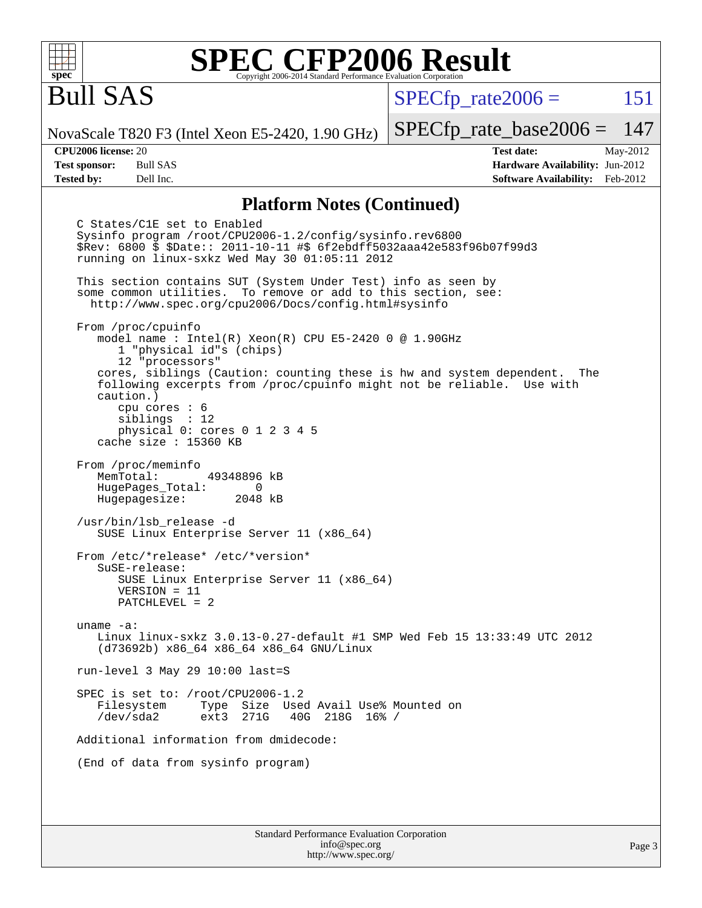

## Bull SAS

 $SPECTp\_rate2006 = 151$ 

NovaScale T820 F3 (Intel Xeon E5-2420, 1.90 GHz)

**[Test sponsor:](http://www.spec.org/auto/cpu2006/Docs/result-fields.html#Testsponsor)** Bull SAS **[Hardware Availability:](http://www.spec.org/auto/cpu2006/Docs/result-fields.html#HardwareAvailability)** Jun-2012 **[Tested by:](http://www.spec.org/auto/cpu2006/Docs/result-fields.html#Testedby)** Dell Inc. **[Software Availability:](http://www.spec.org/auto/cpu2006/Docs/result-fields.html#SoftwareAvailability)** Feb-2012

[SPECfp\\_rate\\_base2006 =](http://www.spec.org/auto/cpu2006/Docs/result-fields.html#SPECfpratebase2006) 147 **[CPU2006 license:](http://www.spec.org/auto/cpu2006/Docs/result-fields.html#CPU2006license)** 20 **[Test date:](http://www.spec.org/auto/cpu2006/Docs/result-fields.html#Testdate)** May-2012

**[Platform Notes \(Continued\)](http://www.spec.org/auto/cpu2006/Docs/result-fields.html#PlatformNotes)**

Standard Performance Evaluation Corporation C States/C1E set to Enabled Sysinfo program /root/CPU2006-1.2/config/sysinfo.rev6800 \$Rev: 6800 \$ \$Date:: 2011-10-11 #\$ 6f2ebdff5032aaa42e583f96b07f99d3 running on linux-sxkz Wed May 30 01:05:11 2012 This section contains SUT (System Under Test) info as seen by some common utilities. To remove or add to this section, see: <http://www.spec.org/cpu2006/Docs/config.html#sysinfo> From /proc/cpuinfo model name : Intel(R) Xeon(R) CPU E5-2420 0 @ 1.90GHz 1 "physical id"s (chips) 12 "processors" cores, siblings (Caution: counting these is hw and system dependent. The following excerpts from /proc/cpuinfo might not be reliable. Use with caution.) cpu cores : 6 siblings : 12 physical 0: cores 0 1 2 3 4 5 cache size : 15360 KB From /proc/meminfo MemTotal: 49348896 kB HugePages\_Total: 0<br>Hugepagesize: 2048 kB Hugepagesize: /usr/bin/lsb\_release -d SUSE Linux Enterprise Server 11 (x86\_64) From /etc/\*release\* /etc/\*version\* SuSE-release: SUSE Linux Enterprise Server 11 (x86\_64) VERSION = 11 PATCHLEVEL = 2 uname -a: Linux linux-sxkz 3.0.13-0.27-default #1 SMP Wed Feb 15 13:33:49 UTC 2012 (d73692b) x86\_64 x86\_64 x86\_64 GNU/Linux run-level 3 May 29 10:00 last=S SPEC is set to: /root/CPU2006-1.2 Filesystem Type Size Used Avail Use% Mounted on<br>
/dev/sda2 ext3 271G 40G 218G 16% / 40G 218G 16% / Additional information from dmidecode: (End of data from sysinfo program)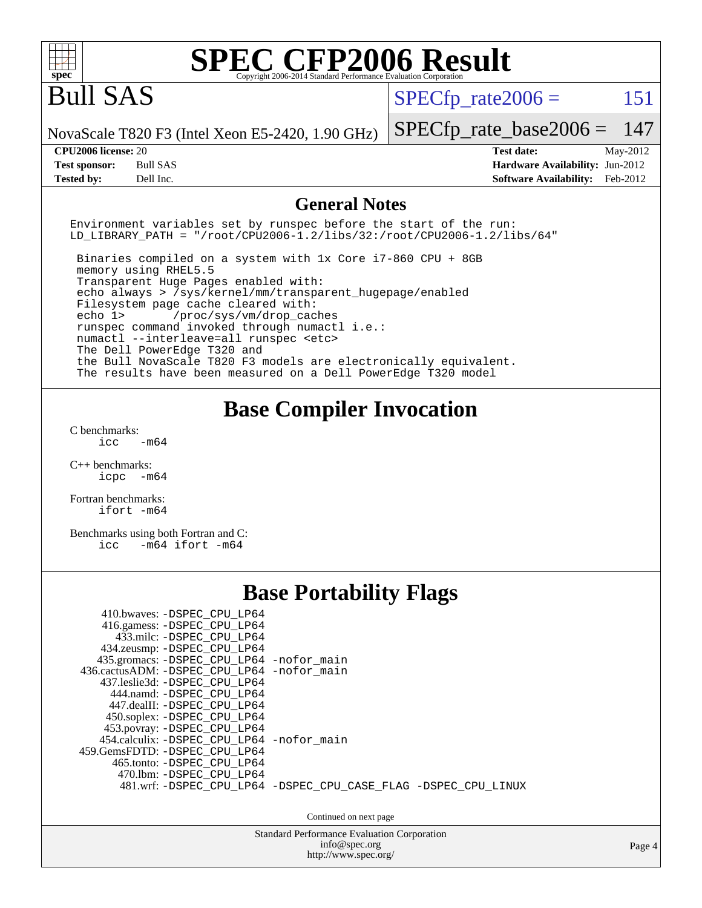| $\mathbf{Spec}^*$                                                                                                                                                                                                                                                                                                                                                                                                                                                                                                                                                              | Copyright 2006-2014 Standard Performance Evaluation Corporatio      | <b>SPEC CFP2006 Result</b>                                                                   |                      |
|--------------------------------------------------------------------------------------------------------------------------------------------------------------------------------------------------------------------------------------------------------------------------------------------------------------------------------------------------------------------------------------------------------------------------------------------------------------------------------------------------------------------------------------------------------------------------------|---------------------------------------------------------------------|----------------------------------------------------------------------------------------------|----------------------|
| <b>Bull SAS</b>                                                                                                                                                                                                                                                                                                                                                                                                                                                                                                                                                                |                                                                     | $SPECfp\_rate2006 =$                                                                         | 151                  |
| NovaScale T820 F3 (Intel Xeon E5-2420, 1.90 GHz)                                                                                                                                                                                                                                                                                                                                                                                                                                                                                                                               |                                                                     | $SPECfp\_rate\_base2006 =$                                                                   | 147                  |
| CPU <sub>2006</sub> license: 20<br><b>Test sponsor:</b><br><b>Bull SAS</b><br><b>Tested by:</b><br>Dell Inc.                                                                                                                                                                                                                                                                                                                                                                                                                                                                   |                                                                     | <b>Test date:</b><br><b>Hardware Availability: Jun-2012</b><br><b>Software Availability:</b> | May-2012<br>Feb-2012 |
|                                                                                                                                                                                                                                                                                                                                                                                                                                                                                                                                                                                | <b>General Notes</b>                                                |                                                                                              |                      |
| Environment variables set by runspec before the start of the run:<br>$LD_LIBRARY_PATH = "/root/CPU2006-1.2/libs/32://root/CPU2006-1.2/libs/64"$                                                                                                                                                                                                                                                                                                                                                                                                                                |                                                                     |                                                                                              |                      |
| Binaries compiled on a system with 1x Core i7-860 CPU + 8GB<br>memory using RHEL5.5<br>Transparent Huge Pages enabled with:<br>echo always > /sys/kernel/mm/transparent_hugepage/enabled<br>Filesystem page cache cleared with:<br>echo 1><br>/proc/sys/vm/drop_caches<br>runspec command invoked through numactl i.e.:<br>numactl --interleave=all runspec <etc><br/>The Dell PowerEdge T320 and<br/>the Bull NovaScale T820 F3 models are electronically equivalent.<br/>The results have been measured on a Dell PowerEdge T320 model</etc>                                 |                                                                     |                                                                                              |                      |
| C benchmarks:<br>icc<br>$-m64$<br>$C_{++}$ benchmarks:<br>icpc -m64<br>Fortran benchmarks:                                                                                                                                                                                                                                                                                                                                                                                                                                                                                     | <b>Base Compiler Invocation</b>                                     |                                                                                              |                      |
| ifort -m64                                                                                                                                                                                                                                                                                                                                                                                                                                                                                                                                                                     |                                                                     |                                                                                              |                      |
| Benchmarks using both Fortran and C:<br>$-m64$ ifort $-m64$<br>icc                                                                                                                                                                                                                                                                                                                                                                                                                                                                                                             |                                                                     |                                                                                              |                      |
|                                                                                                                                                                                                                                                                                                                                                                                                                                                                                                                                                                                | <b>Base Portability Flags</b>                                       |                                                                                              |                      |
| 410.bwaves: - DSPEC CPU LP64<br>416.gamess: -DSPEC CPU LP64<br>433.milc: - DSPEC_CPU_LP64<br>434.zeusmp: - DSPEC_CPU_LP64<br>435.gromacs: -DSPEC_CPU_LP64 -nofor_main<br>436.cactusADM: -DSPEC_CPU_LP64 -nofor_main<br>437.leslie3d: -DSPEC_CPU_LP64<br>444.namd: -DSPEC_CPU_LP64<br>447.dealII: -DSPEC_CPU_LP64<br>450.soplex: - DSPEC_CPU_LP64<br>453.povray: -DSPEC_CPU_LP64<br>454.calculix: -DSPEC_CPU_LP64<br>459.GemsFDTD: - DSPEC_CPU_LP64<br>465.tonto: -DSPEC_CPU_LP64<br>470.1bm: -DSPEC_CPU_LP64<br>481.wrf: -DSPEC_CPU_LP64 -DSPEC_CPU_CASE_FLAG -DSPEC_CPU_LINUX | -nofor main<br>Continued on next page                               |                                                                                              |                      |
|                                                                                                                                                                                                                                                                                                                                                                                                                                                                                                                                                                                | <b>Standard Performance Evaluation Corporation</b><br>info@spec.org |                                                                                              | Page 4               |
|                                                                                                                                                                                                                                                                                                                                                                                                                                                                                                                                                                                | http://www.spec.org/                                                |                                                                                              |                      |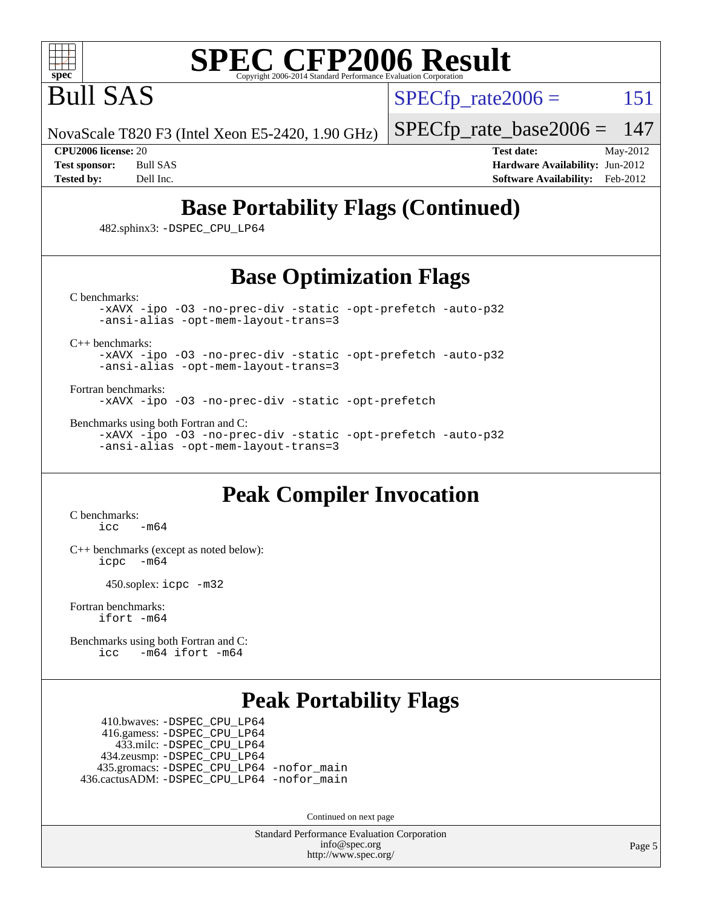

Bull SAS

 $SPECTp\_rate2006 = 151$ 

NovaScale T820 F3 (Intel Xeon E5-2420, 1.90 GHz)

[SPECfp\\_rate\\_base2006 =](http://www.spec.org/auto/cpu2006/Docs/result-fields.html#SPECfpratebase2006) 147

**[CPU2006 license:](http://www.spec.org/auto/cpu2006/Docs/result-fields.html#CPU2006license)** 20 **[Test date:](http://www.spec.org/auto/cpu2006/Docs/result-fields.html#Testdate)** May-2012 **[Test sponsor:](http://www.spec.org/auto/cpu2006/Docs/result-fields.html#Testsponsor)** Bull SAS **[Hardware Availability:](http://www.spec.org/auto/cpu2006/Docs/result-fields.html#HardwareAvailability)** Jun-2012 **[Tested by:](http://www.spec.org/auto/cpu2006/Docs/result-fields.html#Testedby)** Dell Inc. **[Software Availability:](http://www.spec.org/auto/cpu2006/Docs/result-fields.html#SoftwareAvailability)** Feb-2012

## **[Base Portability Flags \(Continued\)](http://www.spec.org/auto/cpu2006/Docs/result-fields.html#BasePortabilityFlags)**

482.sphinx3: [-DSPEC\\_CPU\\_LP64](http://www.spec.org/cpu2006/results/res2012q3/cpu2006-20120703-23409.flags.html#suite_basePORTABILITY482_sphinx3_DSPEC_CPU_LP64)

## **[Base Optimization Flags](http://www.spec.org/auto/cpu2006/Docs/result-fields.html#BaseOptimizationFlags)**

[C benchmarks](http://www.spec.org/auto/cpu2006/Docs/result-fields.html#Cbenchmarks):

[-xAVX](http://www.spec.org/cpu2006/results/res2012q3/cpu2006-20120703-23409.flags.html#user_CCbase_f-xAVX) [-ipo](http://www.spec.org/cpu2006/results/res2012q3/cpu2006-20120703-23409.flags.html#user_CCbase_f-ipo) [-O3](http://www.spec.org/cpu2006/results/res2012q3/cpu2006-20120703-23409.flags.html#user_CCbase_f-O3) [-no-prec-div](http://www.spec.org/cpu2006/results/res2012q3/cpu2006-20120703-23409.flags.html#user_CCbase_f-no-prec-div) [-static](http://www.spec.org/cpu2006/results/res2012q3/cpu2006-20120703-23409.flags.html#user_CCbase_f-static) [-opt-prefetch](http://www.spec.org/cpu2006/results/res2012q3/cpu2006-20120703-23409.flags.html#user_CCbase_f-opt-prefetch) [-auto-p32](http://www.spec.org/cpu2006/results/res2012q3/cpu2006-20120703-23409.flags.html#user_CCbase_f-auto-p32) [-ansi-alias](http://www.spec.org/cpu2006/results/res2012q3/cpu2006-20120703-23409.flags.html#user_CCbase_f-ansi-alias) [-opt-mem-layout-trans=3](http://www.spec.org/cpu2006/results/res2012q3/cpu2006-20120703-23409.flags.html#user_CCbase_f-opt-mem-layout-trans_a7b82ad4bd7abf52556d4961a2ae94d5)

[C++ benchmarks:](http://www.spec.org/auto/cpu2006/Docs/result-fields.html#CXXbenchmarks)

[-xAVX](http://www.spec.org/cpu2006/results/res2012q3/cpu2006-20120703-23409.flags.html#user_CXXbase_f-xAVX) [-ipo](http://www.spec.org/cpu2006/results/res2012q3/cpu2006-20120703-23409.flags.html#user_CXXbase_f-ipo) [-O3](http://www.spec.org/cpu2006/results/res2012q3/cpu2006-20120703-23409.flags.html#user_CXXbase_f-O3) [-no-prec-div](http://www.spec.org/cpu2006/results/res2012q3/cpu2006-20120703-23409.flags.html#user_CXXbase_f-no-prec-div) [-static](http://www.spec.org/cpu2006/results/res2012q3/cpu2006-20120703-23409.flags.html#user_CXXbase_f-static) [-opt-prefetch](http://www.spec.org/cpu2006/results/res2012q3/cpu2006-20120703-23409.flags.html#user_CXXbase_f-opt-prefetch) [-auto-p32](http://www.spec.org/cpu2006/results/res2012q3/cpu2006-20120703-23409.flags.html#user_CXXbase_f-auto-p32) [-ansi-alias](http://www.spec.org/cpu2006/results/res2012q3/cpu2006-20120703-23409.flags.html#user_CXXbase_f-ansi-alias) [-opt-mem-layout-trans=3](http://www.spec.org/cpu2006/results/res2012q3/cpu2006-20120703-23409.flags.html#user_CXXbase_f-opt-mem-layout-trans_a7b82ad4bd7abf52556d4961a2ae94d5)

[Fortran benchmarks](http://www.spec.org/auto/cpu2006/Docs/result-fields.html#Fortranbenchmarks):

[-xAVX](http://www.spec.org/cpu2006/results/res2012q3/cpu2006-20120703-23409.flags.html#user_FCbase_f-xAVX) [-ipo](http://www.spec.org/cpu2006/results/res2012q3/cpu2006-20120703-23409.flags.html#user_FCbase_f-ipo) [-O3](http://www.spec.org/cpu2006/results/res2012q3/cpu2006-20120703-23409.flags.html#user_FCbase_f-O3) [-no-prec-div](http://www.spec.org/cpu2006/results/res2012q3/cpu2006-20120703-23409.flags.html#user_FCbase_f-no-prec-div) [-static](http://www.spec.org/cpu2006/results/res2012q3/cpu2006-20120703-23409.flags.html#user_FCbase_f-static) [-opt-prefetch](http://www.spec.org/cpu2006/results/res2012q3/cpu2006-20120703-23409.flags.html#user_FCbase_f-opt-prefetch)

[Benchmarks using both Fortran and C](http://www.spec.org/auto/cpu2006/Docs/result-fields.html#BenchmarksusingbothFortranandC):

[-xAVX](http://www.spec.org/cpu2006/results/res2012q3/cpu2006-20120703-23409.flags.html#user_CC_FCbase_f-xAVX) [-ipo](http://www.spec.org/cpu2006/results/res2012q3/cpu2006-20120703-23409.flags.html#user_CC_FCbase_f-ipo) [-O3](http://www.spec.org/cpu2006/results/res2012q3/cpu2006-20120703-23409.flags.html#user_CC_FCbase_f-O3) [-no-prec-div](http://www.spec.org/cpu2006/results/res2012q3/cpu2006-20120703-23409.flags.html#user_CC_FCbase_f-no-prec-div) [-static](http://www.spec.org/cpu2006/results/res2012q3/cpu2006-20120703-23409.flags.html#user_CC_FCbase_f-static) [-opt-prefetch](http://www.spec.org/cpu2006/results/res2012q3/cpu2006-20120703-23409.flags.html#user_CC_FCbase_f-opt-prefetch) [-auto-p32](http://www.spec.org/cpu2006/results/res2012q3/cpu2006-20120703-23409.flags.html#user_CC_FCbase_f-auto-p32) [-ansi-alias](http://www.spec.org/cpu2006/results/res2012q3/cpu2006-20120703-23409.flags.html#user_CC_FCbase_f-ansi-alias) [-opt-mem-layout-trans=3](http://www.spec.org/cpu2006/results/res2012q3/cpu2006-20120703-23409.flags.html#user_CC_FCbase_f-opt-mem-layout-trans_a7b82ad4bd7abf52556d4961a2ae94d5)

#### **[Peak Compiler Invocation](http://www.spec.org/auto/cpu2006/Docs/result-fields.html#PeakCompilerInvocation)**

[C benchmarks](http://www.spec.org/auto/cpu2006/Docs/result-fields.html#Cbenchmarks):  $\text{icc}$   $-\text{m64}$ 

[C++ benchmarks \(except as noted below\):](http://www.spec.org/auto/cpu2006/Docs/result-fields.html#CXXbenchmarksexceptasnotedbelow) [icpc -m64](http://www.spec.org/cpu2006/results/res2012q3/cpu2006-20120703-23409.flags.html#user_CXXpeak_intel_icpc_64bit_bedb90c1146cab66620883ef4f41a67e)

450.soplex: [icpc -m32](http://www.spec.org/cpu2006/results/res2012q3/cpu2006-20120703-23409.flags.html#user_peakCXXLD450_soplex_intel_icpc_4e5a5ef1a53fd332b3c49e69c3330699)

[Fortran benchmarks](http://www.spec.org/auto/cpu2006/Docs/result-fields.html#Fortranbenchmarks): [ifort -m64](http://www.spec.org/cpu2006/results/res2012q3/cpu2006-20120703-23409.flags.html#user_FCpeak_intel_ifort_64bit_ee9d0fb25645d0210d97eb0527dcc06e)

[Benchmarks using both Fortran and C](http://www.spec.org/auto/cpu2006/Docs/result-fields.html#BenchmarksusingbothFortranandC): [icc -m64](http://www.spec.org/cpu2006/results/res2012q3/cpu2006-20120703-23409.flags.html#user_CC_FCpeak_intel_icc_64bit_0b7121f5ab7cfabee23d88897260401c) [ifort -m64](http://www.spec.org/cpu2006/results/res2012q3/cpu2006-20120703-23409.flags.html#user_CC_FCpeak_intel_ifort_64bit_ee9d0fb25645d0210d97eb0527dcc06e)

#### **[Peak Portability Flags](http://www.spec.org/auto/cpu2006/Docs/result-fields.html#PeakPortabilityFlags)**

 410.bwaves: [-DSPEC\\_CPU\\_LP64](http://www.spec.org/cpu2006/results/res2012q3/cpu2006-20120703-23409.flags.html#suite_peakPORTABILITY410_bwaves_DSPEC_CPU_LP64) 416.gamess: [-DSPEC\\_CPU\\_LP64](http://www.spec.org/cpu2006/results/res2012q3/cpu2006-20120703-23409.flags.html#suite_peakPORTABILITY416_gamess_DSPEC_CPU_LP64) 433.milc: [-DSPEC\\_CPU\\_LP64](http://www.spec.org/cpu2006/results/res2012q3/cpu2006-20120703-23409.flags.html#suite_peakPORTABILITY433_milc_DSPEC_CPU_LP64) 434.zeusmp: [-DSPEC\\_CPU\\_LP64](http://www.spec.org/cpu2006/results/res2012q3/cpu2006-20120703-23409.flags.html#suite_peakPORTABILITY434_zeusmp_DSPEC_CPU_LP64) 435.gromacs: [-DSPEC\\_CPU\\_LP64](http://www.spec.org/cpu2006/results/res2012q3/cpu2006-20120703-23409.flags.html#suite_peakPORTABILITY435_gromacs_DSPEC_CPU_LP64) [-nofor\\_main](http://www.spec.org/cpu2006/results/res2012q3/cpu2006-20120703-23409.flags.html#user_peakLDPORTABILITY435_gromacs_f-nofor_main) 436.cactusADM: [-DSPEC\\_CPU\\_LP64](http://www.spec.org/cpu2006/results/res2012q3/cpu2006-20120703-23409.flags.html#suite_peakPORTABILITY436_cactusADM_DSPEC_CPU_LP64) [-nofor\\_main](http://www.spec.org/cpu2006/results/res2012q3/cpu2006-20120703-23409.flags.html#user_peakLDPORTABILITY436_cactusADM_f-nofor_main)

Continued on next page

Standard Performance Evaluation Corporation [info@spec.org](mailto:info@spec.org) <http://www.spec.org/>

Page 5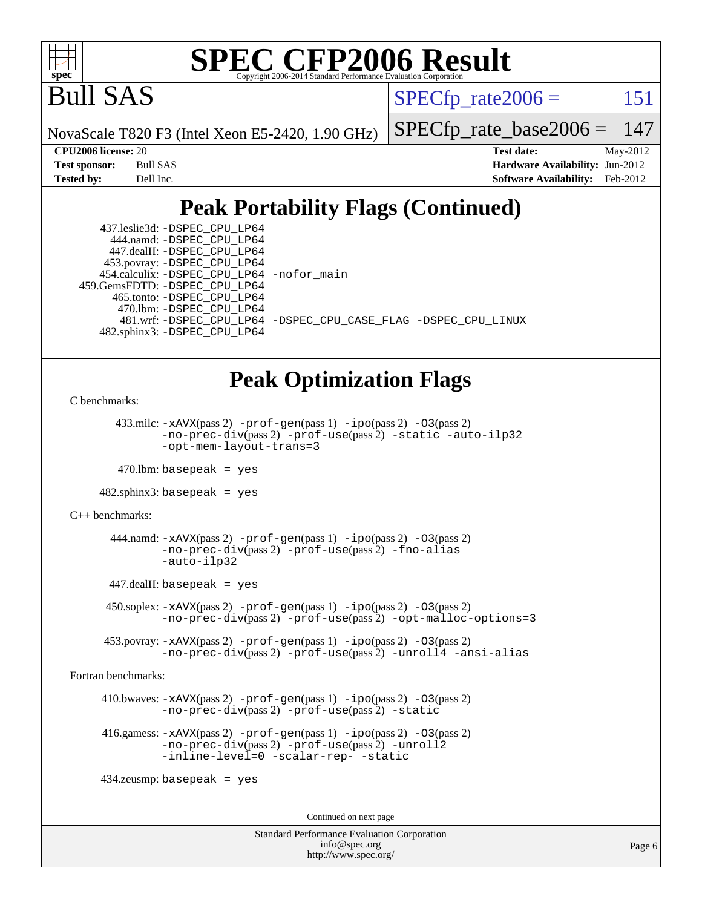

Bull SAS

 $SPECTp\_rate2006 = 151$ 

NovaScale T820 F3 (Intel Xeon E5-2420, 1.90 GHz)

[SPECfp\\_rate\\_base2006 =](http://www.spec.org/auto/cpu2006/Docs/result-fields.html#SPECfpratebase2006) 147

| Test sponsor: | Bull SAS  |
|---------------|-----------|
| Tested by:    | Dell Inc. |

**[CPU2006 license:](http://www.spec.org/auto/cpu2006/Docs/result-fields.html#CPU2006license)** 20 **[Test date:](http://www.spec.org/auto/cpu2006/Docs/result-fields.html#Testdate)** May-2012 **[Hardware Availability:](http://www.spec.org/auto/cpu2006/Docs/result-fields.html#HardwareAvailability)** Jun-2012 **[Software Availability:](http://www.spec.org/auto/cpu2006/Docs/result-fields.html#SoftwareAvailability)** Feb-2012

### **[Peak Portability Flags \(Continued\)](http://www.spec.org/auto/cpu2006/Docs/result-fields.html#PeakPortabilityFlags)**

| 437.leslie3d: -DSPEC CPU LP64               |                                                                |
|---------------------------------------------|----------------------------------------------------------------|
| 444.namd: - DSPEC CPU LP64                  |                                                                |
| 447.dealII: -DSPEC CPU LP64                 |                                                                |
| 453.povray: -DSPEC_CPU_LP64                 |                                                                |
| 454.calculix: - DSPEC CPU LP64 - nofor main |                                                                |
| 459. GemsFDTD: - DSPEC CPU LP64             |                                                                |
| 465.tonto: - DSPEC CPU LP64                 |                                                                |
| 470.1bm: - DSPEC CPU LP64                   |                                                                |
|                                             | 481.wrf: -DSPEC CPU_LP64 -DSPEC_CPU_CASE_FLAG -DSPEC_CPU_LINUX |
| 482.sphinx3: -DSPEC_CPU_LP64                |                                                                |
|                                             |                                                                |

#### **[Peak Optimization Flags](http://www.spec.org/auto/cpu2006/Docs/result-fields.html#PeakOptimizationFlags)**

```
C benchmarks:
```

```
433.milc: -xAVX(pass 2) -prof-gen(pass 1) -pipo(pass 2) -03(pass 2)
        -no-prec-div(pass 2) -prof-use(pass 2) -static -auto-ilp32
        -opt-mem-layout-trans=3
```

```
470.lbm: basepeak = yes
```
482.sphinx3: basepeak = yes

```
C++ benchmarks:
```

```
444.namd: -xAVX(pass 2)-prof-gen-ipo-O3(pass 2)
       -no-prec-div(pass 2) -prof-use(pass 2) -fno-alias
       -auto-ilp32
```
447.dealII: basepeak = yes

 450.soplex: [-xAVX](http://www.spec.org/cpu2006/results/res2012q3/cpu2006-20120703-23409.flags.html#user_peakPASS2_CXXFLAGSPASS2_LDFLAGS450_soplex_f-xAVX)(pass 2) [-prof-gen](http://www.spec.org/cpu2006/results/res2012q3/cpu2006-20120703-23409.flags.html#user_peakPASS1_CXXFLAGSPASS1_LDFLAGS450_soplex_prof_gen_e43856698f6ca7b7e442dfd80e94a8fc)(pass 1) [-ipo](http://www.spec.org/cpu2006/results/res2012q3/cpu2006-20120703-23409.flags.html#user_peakPASS2_CXXFLAGSPASS2_LDFLAGS450_soplex_f-ipo)(pass 2) [-O3](http://www.spec.org/cpu2006/results/res2012q3/cpu2006-20120703-23409.flags.html#user_peakPASS2_CXXFLAGSPASS2_LDFLAGS450_soplex_f-O3)(pass 2) [-no-prec-div](http://www.spec.org/cpu2006/results/res2012q3/cpu2006-20120703-23409.flags.html#user_peakPASS2_CXXFLAGSPASS2_LDFLAGS450_soplex_f-no-prec-div)(pass 2) [-prof-use](http://www.spec.org/cpu2006/results/res2012q3/cpu2006-20120703-23409.flags.html#user_peakPASS2_CXXFLAGSPASS2_LDFLAGS450_soplex_prof_use_bccf7792157ff70d64e32fe3e1250b55)(pass 2) [-opt-malloc-options=3](http://www.spec.org/cpu2006/results/res2012q3/cpu2006-20120703-23409.flags.html#user_peakOPTIMIZE450_soplex_f-opt-malloc-options_13ab9b803cf986b4ee62f0a5998c2238)

 453.povray: [-xAVX](http://www.spec.org/cpu2006/results/res2012q3/cpu2006-20120703-23409.flags.html#user_peakPASS2_CXXFLAGSPASS2_LDFLAGS453_povray_f-xAVX)(pass 2) [-prof-gen](http://www.spec.org/cpu2006/results/res2012q3/cpu2006-20120703-23409.flags.html#user_peakPASS1_CXXFLAGSPASS1_LDFLAGS453_povray_prof_gen_e43856698f6ca7b7e442dfd80e94a8fc)(pass 1) [-ipo](http://www.spec.org/cpu2006/results/res2012q3/cpu2006-20120703-23409.flags.html#user_peakPASS2_CXXFLAGSPASS2_LDFLAGS453_povray_f-ipo)(pass 2) [-O3](http://www.spec.org/cpu2006/results/res2012q3/cpu2006-20120703-23409.flags.html#user_peakPASS2_CXXFLAGSPASS2_LDFLAGS453_povray_f-O3)(pass 2) [-no-prec-div](http://www.spec.org/cpu2006/results/res2012q3/cpu2006-20120703-23409.flags.html#user_peakPASS2_CXXFLAGSPASS2_LDFLAGS453_povray_f-no-prec-div)(pass 2) [-prof-use](http://www.spec.org/cpu2006/results/res2012q3/cpu2006-20120703-23409.flags.html#user_peakPASS2_CXXFLAGSPASS2_LDFLAGS453_povray_prof_use_bccf7792157ff70d64e32fe3e1250b55)(pass 2) [-unroll4](http://www.spec.org/cpu2006/results/res2012q3/cpu2006-20120703-23409.flags.html#user_peakCXXOPTIMIZE453_povray_f-unroll_4e5e4ed65b7fd20bdcd365bec371b81f) [-ansi-alias](http://www.spec.org/cpu2006/results/res2012q3/cpu2006-20120703-23409.flags.html#user_peakCXXOPTIMIZE453_povray_f-ansi-alias)

[Fortran benchmarks](http://www.spec.org/auto/cpu2006/Docs/result-fields.html#Fortranbenchmarks):

```
 410.bwaves: -xAVX(pass 2) -prof-gen(pass 1) -ipo(pass 2) -O3(pass 2)
          -no-prec-div(pass 2) -prof-use(pass 2) -static
```

```
 416.gamess: -xAVX(pass 2) -prof-gen(pass 1) -ipo(pass 2) -O3(pass 2)
          -no-prec-div(pass 2) -prof-use(pass 2) -unroll2
          -inline-level=0 -scalar-rep- -static
```
434.zeusmp: basepeak = yes

Continued on next page

```
Standard Performance Evaluation Corporation
             info@spec.org
           http://www.spec.org/
```